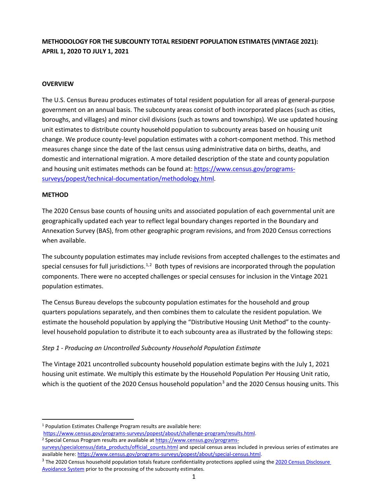# **METHODOLOGY FOR THE SUBCOUNTY TOTAL RESIDENT POPULATION ESTIMATES (VINTAGE 2021): APRIL 1, 2020 TO JULY 1, 2021**

#### **OVERVIEW**

The U.S. Census Bureau produces estimates of total resident population for all areas of general-purpose government on an annual basis. The subcounty areas consist of both incorporated places (such as cities, boroughs, and villages) and minor civil divisions (such as towns and townships). We use updated housing unit estimates to distribute county household population to subcounty areas based on housing unit change. We produce county-level population estimates with a cohort-component method. This method measures change since the date of the last census using administrative data on births, deaths, and domestic and international migration. A more detailed description of the state and county population and housing unit estimates methods can be found at: [https://www.census.gov/programs](https://www.census.gov/programs-surveys/popest/technical-documentation/methodology.html)[surveys/popest/technical-documentation/methodology.html.](https://www.census.gov/programs-surveys/popest/technical-documentation/methodology.html)

#### **METHOD**

The 2020 Census base counts of housing units and associated population of each governmental unit are geographically updated each year to reflect legal boundary changes reported in the Boundary and Annexation Survey (BAS), from other geographic program revisions, and from 2020 Census corrections when available.

The subcounty population estimates may include revisions from accepted challenges to the estimates and special censuses for full jurisdictions.<sup>[1,](#page-0-0)[2](#page-0-1)</sup> Both types of revisions are incorporated through the population components. There were no accepted challenges or special censuses for inclusion in the Vintage 2021 population estimates.

The Census Bureau develops the subcounty population estimates for the household and group quarters populations separately, and then combines them to calculate the resident population. We estimate the household population by applying the "Distributive Housing Unit Method" to the countylevel household population to distribute it to each subcounty area as illustrated by the following steps:

### *Step 1 - Producing an Uncontrolled Subcounty Household Population Estimate*

The Vintage 2021 uncontrolled subcounty household population estimate begins with the July 1, 2021 housing unit estimate. We multiply this estimate by the Household Population Per Housing Unit ratio, which is the quotient of the 2020 Census household population<sup>[3](#page-0-2)</sup> and the 2020 Census housing units. This

<span id="page-0-1"></span><span id="page-0-0"></span><sup>1</sup> Population Estimates Challenge Program results are available here:

[https://www.census.gov/programs-surveys/popest/about/challenge-program/results.html.](https://www.census.gov/programs-surveys/popest/about/challenge-program/results.html) <sup>2</sup> Special Census Program results are available at [https://www.census.gov/programs-](https://www.census.gov/programs-surveys/specialcensus/data_products/official_counts.html)

[surveys/specialcensus/data\\_products/official\\_counts.html](https://www.census.gov/programs-surveys/specialcensus/data_products/official_counts.html) and special census areas included in previous series of estimates are available here: [https://www.census.gov/programs-surveys/popest/about/special-census.html.](https://www.census.gov/programs-surveys/popest/about/special-census.html)

<span id="page-0-2"></span><sup>&</sup>lt;sup>3</sup> The 2020 Census household population totals feature confidentiality protections applied using the 2020 Census Disclosure [Avoidance System](https://www.census.gov/programs-surveys/decennial-census/decade/2020/planning-management/process/disclosure-avoidance.html) prior to the processing of the subcounty estimates.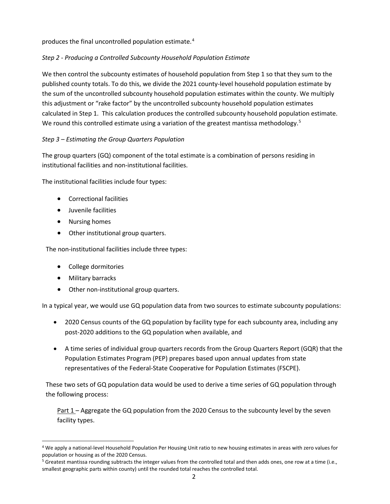produces the final uncontrolled population estimate.<sup>[4](#page-1-0)</sup>

### *Step 2 - Producing a Controlled Subcounty Household Population Estimate*

We then control the subcounty estimates of household population from Step 1 so that they sum to the published county totals. To do this, we divide the 2021 county-level household population estimate by the sum of the uncontrolled subcounty household population estimates within the county. We multiply this adjustment or "rake factor" by the uncontrolled subcounty household population estimates calculated in Step 1. This calculation produces the controlled subcounty household population estimate. We round this controlled estimate using a variation of the greatest mantissa methodology.<sup>[5](#page-1-1)</sup>

## *Step 3 – Estimating the Group Quarters Population*

The group quarters (GQ) component of the total estimate is a combination of persons residing in institutional facilities and non-institutional facilities.

The institutional facilities include four types:

- Correctional facilities
- Juvenile facilities
- Nursing homes
- Other institutional group quarters.

The non-institutional facilities include three types:

- College dormitories
- Military barracks
- Other non-institutional group quarters.

In a typical year, we would use GQ population data from two sources to estimate subcounty populations:

- 2020 Census counts of the GQ population by facility type for each subcounty area, including any post-2020 additions to the GQ population when available, and
- A time series of individual group quarters records from the Group Quarters Report (GQR) that the Population Estimates Program (PEP) prepares based upon annual updates from state representatives of the Federal-State Cooperative for Population Estimates (FSCPE).

These two sets of GQ population data would be used to derive a time series of GQ population through the following process:

Part 1 – Aggregate the GQ population from the 2020 Census to the subcounty level by the seven facility types.

<span id="page-1-0"></span><sup>4</sup> We apply a national-level Household Population Per Housing Unit ratio to new housing estimates in areas with zero values for population or housing as of the 2020 Census.

<span id="page-1-1"></span> $5$  Greatest mantissa rounding subtracts the integer values from the controlled total and then adds ones, one row at a time (i.e., smallest geographic parts within county) until the rounded total reaches the controlled total.